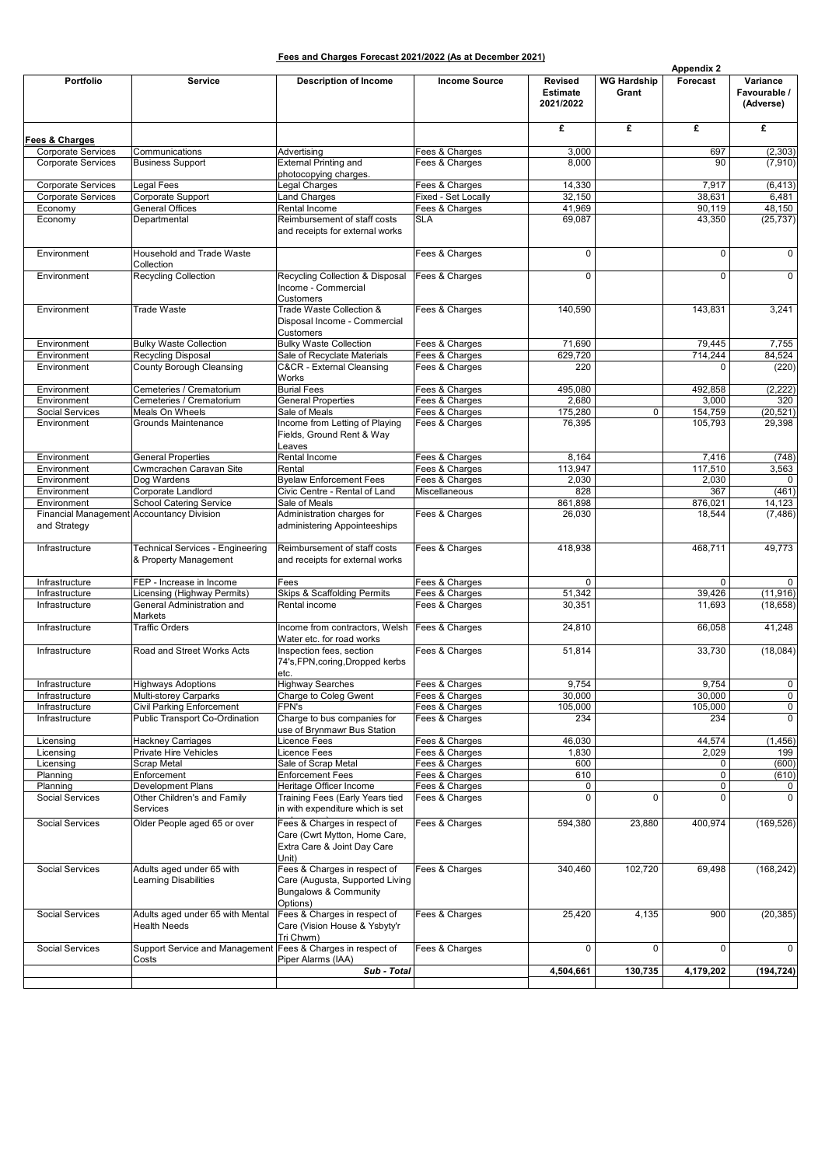|                                                          |                                                             |                                                                                                               |                                  |                                                |                             | <b>Appendix 2</b> |                                       |
|----------------------------------------------------------|-------------------------------------------------------------|---------------------------------------------------------------------------------------------------------------|----------------------------------|------------------------------------------------|-----------------------------|-------------------|---------------------------------------|
| Portfolio                                                | <b>Service</b>                                              | <b>Description of Income</b>                                                                                  | <b>Income Source</b>             | <b>Revised</b><br><b>Estimate</b><br>2021/2022 | <b>WG Hardship</b><br>Grant | Forecast          | Variance<br>Favourable /<br>(Adverse) |
| <b>Fees &amp; Charges</b>                                |                                                             |                                                                                                               |                                  | £                                              | £                           | £                 | £                                     |
| <b>Corporate Services</b><br><b>Corporate Services</b>   | Communications<br><b>Business Support</b>                   | Advertising<br><b>External Printing and</b><br>photocopying charges.                                          | Fees & Charges<br>Fees & Charges | 3,000<br>8,000                                 |                             | 697<br>90         | (2, 303)<br>(7, 910)                  |
| <b>Corporate Services</b>                                | Legal Fees                                                  | Legal Charges                                                                                                 | Fees & Charges                   | 14,330                                         |                             | 7,917             | (6, 413)                              |
| <b>Corporate Services</b>                                | Corporate Support                                           | <b>Land Charges</b>                                                                                           | Fixed - Set Locally              | 32,150                                         |                             | 38,631            | 6,481                                 |
| Economy                                                  | <b>General Offices</b>                                      | Rental Income                                                                                                 | Fees & Charges                   | 41,969                                         |                             | 90,119            | 48,150                                |
| Economy                                                  | Departmental                                                | Reimbursement of staff costs<br>and receipts for external works                                               | <b>SLA</b>                       | 69,087                                         |                             | 43,350            | (25, 737)                             |
| Environment                                              | Household and Trade Waste<br>Collection                     |                                                                                                               | Fees & Charges                   | 0                                              |                             | 0                 | 0                                     |
| Environment                                              | <b>Recycling Collection</b>                                 | Recycling Collection & Disposal<br>Income - Commercial<br><b>Customers</b>                                    | Fees & Charges                   | 0                                              |                             | $\Omega$          | 0                                     |
| Environment                                              | <b>Trade Waste</b>                                          | Trade Waste Collection &<br>Disposal Income - Commercial<br><b>Customers</b>                                  | Fees & Charges                   | 140,590                                        |                             | 143,831           | 3,241                                 |
| Environment                                              | <b>Bulky Waste Collection</b>                               | <b>Bulky Waste Collection</b>                                                                                 | Fees & Charges                   | 71,690                                         |                             | 79.445            | 7,755                                 |
| Environment                                              | Recycling Disposal                                          | Sale of Recyclate Materials                                                                                   | Fees & Charges                   | 629,720                                        |                             | 714,244           | 84,524                                |
| Environment                                              | County Borough Cleansing                                    | C&CR - External Cleansing<br>Works                                                                            | Fees & Charges                   | 220                                            |                             | $\Omega$          | (220)                                 |
| Environment                                              | Cemeteries / Crematorium                                    | <b>Burial Fees</b>                                                                                            | Fees & Charges                   | 495,080                                        |                             | 492,858           | (2, 222)                              |
| Environment<br>Social Services                           | Cemeteries / Crematorium<br>Meals On Wheels                 | <b>General Properties</b><br>Sale of Meals                                                                    | Fees & Charges<br>Fees & Charges | 2,680<br>175,280                               | $\mathbf 0$                 | 3,000<br>154,759  | 320<br>(20, 521)                      |
| Environment                                              | Grounds Maintenance                                         | Income from Letting of Playing<br>Fields, Ground Rent & Way<br>Leaves                                         | Fees & Charges                   | 76,395                                         |                             | 105,793           | 29,398                                |
| Environment                                              | <b>General Properties</b>                                   | Rental Income                                                                                                 | Fees & Charges                   | 8,164                                          |                             | 7,416             | (748)                                 |
| Environment                                              | Cwmcrachen Caravan Site                                     | Rental                                                                                                        | Fees & Charges                   | 113,947                                        |                             | 117,510           | 3,563                                 |
| Environment                                              | Dog Wardens                                                 | <b>Byelaw Enforcement Fees</b>                                                                                | Fees & Charges                   | 2,030                                          |                             | 2,030             | 0                                     |
| Environment                                              | Corporate Landlord                                          | Civic Centre - Rental of Land                                                                                 | Miscellaneous                    | 828                                            |                             | 367               | (461)                                 |
| Environment<br>Financial Management Accountancy Division | <b>School Catering Service</b>                              | Sale of Meals<br>Administration charges for                                                                   | Fees & Charges                   | 861,898<br>26,030                              |                             | 876,021<br>18,544 | 14,123<br>(7, 486)                    |
| and Strategy                                             |                                                             | administering Appointeeships                                                                                  |                                  |                                                |                             |                   |                                       |
| Infrastructure                                           | Technical Services - Engineering<br>& Property Management   | Reimbursement of staff costs<br>and receipts for external works                                               | Fees & Charges                   | 418,938                                        |                             | 468,711           | 49,773                                |
| Infrastructure                                           | FEP - Increase in Income                                    | Fees                                                                                                          | Fees & Charges                   | 0                                              |                             | $\mathbf 0$       | $\mathbf 0$                           |
| Infrastructure                                           | <b>Licensing (Highway Permits)</b>                          | Skips & Scaffolding Permits                                                                                   | Fees & Charges                   | 51,342                                         |                             | 39,426            | (11, 916)                             |
| Infrastructure                                           | General Administration and<br>Markets                       | Rental income<br>Income from contractors, Welsh                                                               | Fees & Charges                   | 30,351                                         |                             | 11,693            | (18, 658)                             |
| Infrastructure<br>Infrastructure                         | <b>Traffic Orders</b><br>Road and Street Works Acts         | Water etc. for road works<br>Inspection fees, section                                                         | Fees & Charges<br>Fees & Charges | 24,810<br>51,814                               |                             | 66,058<br>33,730  | 41,248<br>(18,084)                    |
|                                                          |                                                             | 74's, FPN, coring, Dropped kerbs<br>etc.                                                                      |                                  |                                                |                             |                   |                                       |
| Infrastructure                                           | <b>Highways Adoptions</b>                                   | <b>Highway Searches</b>                                                                                       | Fees & Charges                   | 9,754                                          |                             | 9,754             | 0                                     |
| Infrastructure                                           | Multi-storey Carparks                                       | Charge to Coleg Gwent                                                                                         | Fees & Charges                   | 30,000                                         |                             | 30,000            | 0                                     |
| Infrastructure<br>Infrastructure                         | Civil Parking Enforcement<br>Public Transport Co-Ordination | FPN's<br>Charge to bus companies for<br>use of Brynmawr Bus Station                                           | Fees & Charges<br>Fees & Charges | 105,000<br>234                                 |                             | 105,000<br>234    | 0<br>0                                |
| Licensing                                                | <b>Hackney Carriages</b>                                    | Licence Fees                                                                                                  | Fees & Charges                   | 46,030                                         |                             | 44,574            | (1, 456)                              |
| Licensing                                                | Private Hire Vehicles                                       | Licence Fees                                                                                                  | Fees & Charges                   | 1,830                                          |                             | 2,029             | 199                                   |
| Licensing                                                | Scrap Metal                                                 | Sale of Scrap Metal                                                                                           | Fees & Charges                   | 600                                            |                             | 0                 | (600)                                 |
| Planning<br>Planning                                     | Enforcement<br>Development Plans                            | <b>Enforcement Fees</b><br>Heritage Officer Income                                                            | Fees & Charges<br>Fees & Charges | 610<br>0                                       |                             | 0<br>0            | (610)<br>0                            |
| Social Services                                          | Other Children's and Family<br>Services                     | Training Fees (Early Years tied<br>in with expenditure which is set                                           | Fees & Charges                   | 0                                              | 0                           | 0                 | 0                                     |
| Social Services                                          | Older People aged 65 or over                                | Fees & Charges in respect of<br>Care (Cwrt Mytton, Home Care,<br>Extra Care & Joint Day Care                  | Fees & Charges                   | 594,380                                        | 23,880                      | 400,974           | (169, 526)                            |
| Social Services                                          | Adults aged under 65 with<br><b>Learning Disabilities</b>   | Unit)<br>Fees & Charges in respect of<br>Care (Augusta, Supported Living<br>Bungalows & Community<br>Options) | Fees & Charges                   | 340,460                                        | 102,720                     | 69,498            | (168, 242)                            |
| Social Services                                          | Adults aged under 65 with Mental<br><b>Health Needs</b>     | Fees & Charges in respect of<br>Care (Vision House & Ysbyty'r<br>Tri Chwm)                                    | Fees & Charges                   | 25,420                                         | 4,135                       | 900               | (20, 385)                             |
| Social Services                                          | Support Service and Management<br>Costs                     | Fees & Charges in respect of<br>Piper Alarms (IAA)                                                            | Fees & Charges                   | 0                                              | 0                           | 0                 | 0                                     |
|                                                          |                                                             | Sub - Total                                                                                                   |                                  | 4,504,661                                      | 130,735                     | 4,179,202         | (194, 724)                            |
|                                                          |                                                             |                                                                                                               |                                  |                                                |                             |                   |                                       |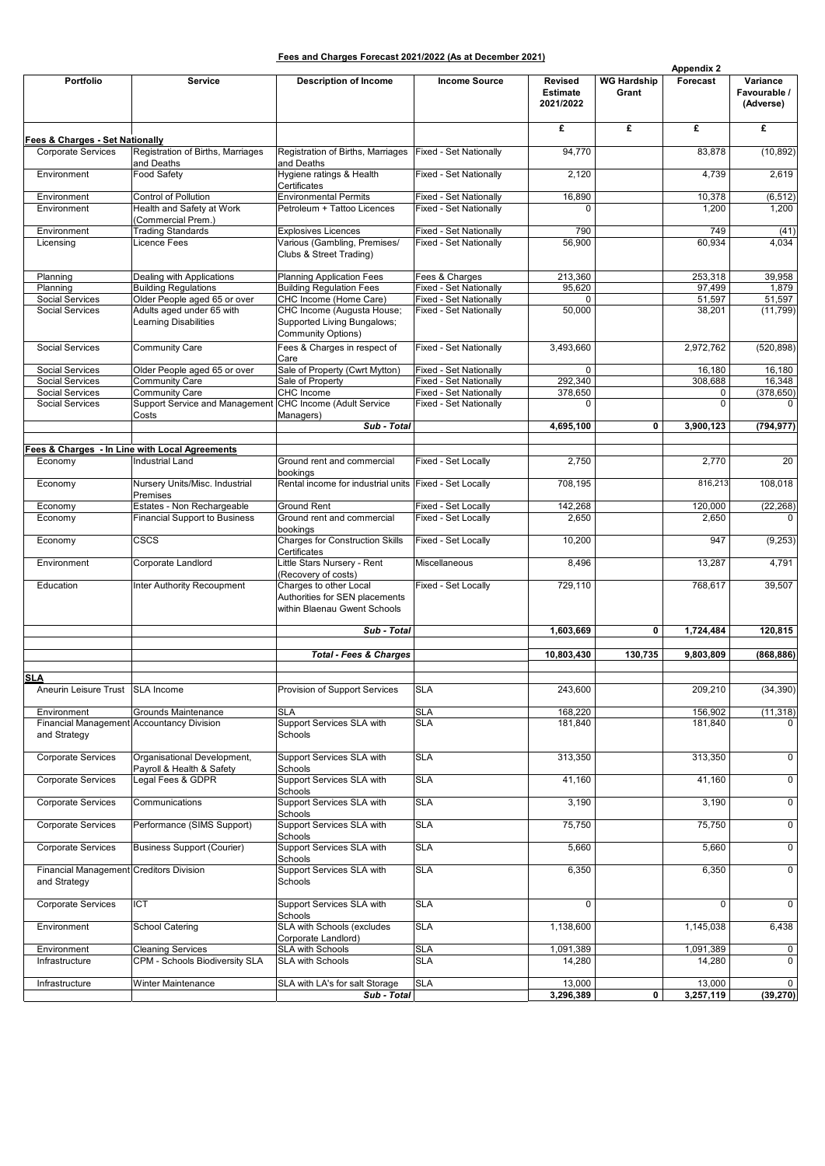| Fees and Charges Forecast 2021/2022 (As at December 2021) |
|-----------------------------------------------------------|
|-----------------------------------------------------------|

|                                                         |                                                                  |                                                                                          |                                                  |                                                |                             | <b>Appendix 2</b> |                                       |
|---------------------------------------------------------|------------------------------------------------------------------|------------------------------------------------------------------------------------------|--------------------------------------------------|------------------------------------------------|-----------------------------|-------------------|---------------------------------------|
| Portfolio                                               | <b>Service</b>                                                   | <b>Description of Income</b>                                                             | <b>Income Source</b>                             | <b>Revised</b><br><b>Estimate</b><br>2021/2022 | <b>WG Hardship</b><br>Grant | Forecast          | Variance<br>Favourable /<br>(Adverse) |
| Fees & Charges - Set Nationally                         |                                                                  |                                                                                          |                                                  | £                                              | £                           | £                 | £                                     |
| <b>Corporate Services</b>                               | Registration of Births, Marriages<br>and Deaths                  | Registration of Births, Marriages<br>and Deaths                                          | <b>Fixed - Set Nationally</b>                    | 94,770                                         |                             | 83,878            | (10, 892)                             |
| Environment                                             | Food Safety                                                      | Hygiene ratings & Health<br>Certificates                                                 | Fixed - Set Nationally                           | 2,120                                          |                             | 4,739             | 2,619                                 |
| Environment                                             | Control of Pollution                                             | <b>Environmental Permits</b>                                                             | Fixed - Set Nationally                           | 16,890                                         |                             | 10,378            | (6, 512)                              |
| Environment                                             | Health and Safety at Work<br>(Commercial Prem.)                  | Petroleum + Tattoo Licences                                                              | Fixed - Set Nationally                           |                                                |                             | 1,200             | 1,200                                 |
| Environment                                             | <b>Trading Standards</b>                                         | <b>Explosives Licences</b>                                                               | Fixed - Set Nationally                           | 790                                            |                             | 749               | (41)                                  |
| Licensing                                               | Licence Fees                                                     | Various (Gambling, Premises/<br>Clubs & Street Trading)                                  | Fixed - Set Nationally                           | 56,900                                         |                             | 60,934            | 4,034                                 |
| Planning                                                | Dealing with Applications                                        | <b>Planning Application Fees</b>                                                         | Fees & Charges                                   | 213,360                                        |                             | 253,318           | 39,958                                |
| Planning                                                | <b>Building Regulations</b>                                      | <b>Building Regulation Fees</b>                                                          | Fixed - Set Nationally                           | 95,620                                         |                             | 97,499            | 1,879                                 |
| <b>Social Services</b>                                  | Older People aged 65 or over<br>Adults aged under 65 with        | CHC Income (Home Care)                                                                   | Fixed - Set Nationally                           | 0<br>50,000                                    |                             | 51,597            | 51,597                                |
| Social Services                                         | <b>Learning Disabilities</b>                                     | CHC Income (Augusta House;<br>Supported Living Bungalows;<br>Community Options)          | Fixed - Set Nationally                           |                                                |                             | 38,201            | (11, 799)                             |
| <b>Social Services</b>                                  | Community Care                                                   | Fees & Charges in respect of<br>Care                                                     | Fixed - Set Nationally                           | 3,493,660                                      |                             | 2,972,762         | (520, 898)                            |
| <b>Social Services</b>                                  | Older People aged 65 or over                                     | Sale of Property (Cwrt Mytton)                                                           | Fixed - Set Nationally                           | $\mathbf 0$                                    |                             | 16,180            | 16,180                                |
| Social Services                                         | <b>Community Care</b>                                            | Sale of Property                                                                         | Fixed - Set Nationally                           | 292,340                                        |                             | 308,688           | 16,348                                |
| <b>Social Services</b><br><b>Social Services</b>        | <b>Community Care</b><br>Support Service and Management<br>Costs | CHC Income<br>CHC Income (Adult Service<br>Managers)                                     | Fixed - Set Nationally<br>Fixed - Set Nationally | 378,650<br>$\Omega$                            |                             | 0<br>$\mathbf 0$  | (378, 650)<br>$\overline{0}$          |
|                                                         |                                                                  | Sub - Total                                                                              |                                                  | 4,695,100                                      | 0                           | 3,900,123         | (794, 977)                            |
|                                                         | Fees & Charges - In Line with Local Agreements                   |                                                                                          |                                                  |                                                |                             |                   |                                       |
| Economy                                                 | <b>Industrial Land</b>                                           | Ground rent and commercial<br>bookings                                                   | Fixed - Set Locally                              | 2,750                                          |                             | 2,770             | 20                                    |
| Economy                                                 | Nursery Units/Misc. Industrial<br>Premises                       | Rental income for industrial units Fixed - Set Locally                                   |                                                  | 708,195                                        |                             | 816,213           | 108,018                               |
| Economy                                                 | Estates - Non Rechargeable                                       | Ground Rent                                                                              | Fixed - Set Locally                              | 142,268                                        |                             | 120,000           | (22, 268)                             |
| Economy                                                 | <b>Financial Support to Business</b>                             | Ground rent and commercial                                                               | Fixed - Set Locally                              | 2,650                                          |                             | 2,650             | 0                                     |
| Economy                                                 | CSCS                                                             | bookings<br><b>Charges for Construction Skills</b><br>Certificates                       | Fixed - Set Locally                              | 10,200                                         |                             | 947               | (9,253)                               |
| Environment                                             | Corporate Landlord                                               | Little Stars Nursery - Rent<br>(Recovery of costs)                                       | Miscellaneous                                    | 8,496                                          |                             | 13,287            | 4,791                                 |
| Education                                               | Inter Authority Recoupment                                       | Charges to other Local<br>Authorities for SEN placements<br>within Blaenau Gwent Schools | Fixed - Set Locally                              | 729,110                                        |                             | 768,617           | 39,507                                |
|                                                         |                                                                  | Sub - Total                                                                              |                                                  | 1,603,669                                      | 0                           | 1,724,484         | 120,815                               |
|                                                         |                                                                  | <b>Total - Fees &amp; Charges</b>                                                        |                                                  | 10,803,430                                     | 130,735                     | 9.803.809         | (868, 886)                            |
|                                                         |                                                                  |                                                                                          |                                                  |                                                |                             |                   |                                       |
| <b>SLA</b><br>Aneurin Leisure Trust   SLA Income        |                                                                  | Provision of Support Services                                                            | SLA                                              | 243,600                                        |                             | 209,210           | (34, 390)                             |
| Environment                                             | Grounds Maintenance                                              | SLA                                                                                      | SLA                                              | 168,220                                        |                             | 156,902           | (11, 318)                             |
| and Strategy                                            | Financial Management Accountancy Division                        | Support Services SLA with<br>Schools                                                     | SLA                                              | 181,840                                        |                             | 181,840           | $\overline{0}$                        |
| <b>Corporate Services</b>                               | Organisational Development,<br>Payroll & Health & Safety         | Support Services SLA with<br>Schools                                                     | SLA                                              | 313,350                                        |                             | 313,350           | $\overline{0}$                        |
| Corporate Services                                      | Legal Fees & GDPR                                                | Support Services SLA with<br>Schools                                                     | <b>SLA</b>                                       | 41,160                                         |                             | 41,160            | $\overline{0}$                        |
| <b>Corporate Services</b>                               | Communications                                                   | Support Services SLA with<br>Schools                                                     | SLA                                              | 3,190                                          |                             | 3,190             | $\overline{0}$                        |
| <b>Corporate Services</b>                               | Performance (SIMS Support)                                       | Support Services SLA with<br>Schools                                                     | SLA                                              | 75,750                                         |                             | 75,750            | $\overline{0}$                        |
| Corporate Services                                      | <b>Business Support (Courier)</b>                                | Support Services SLA with<br>Schools                                                     | SLA                                              | 5,660                                          |                             | 5,660             | $\overline{0}$                        |
| Financial Management Creditors Division<br>and Strategy |                                                                  | Support Services SLA with<br>Schools                                                     | SLA                                              | 6,350                                          |                             | 6,350             | $\overline{0}$                        |
| Corporate Services                                      | <b>ICT</b>                                                       | Support Services SLA with<br>Schools                                                     | SLA                                              | $\mathbf 0$                                    |                             | 0                 | 0                                     |
| Environment                                             | <b>School Catering</b>                                           | SLA with Schools (excludes<br>Corporate Landlord)                                        | SLA                                              | 1,138,600                                      |                             | 1,145,038         | 6,438                                 |
| Environment                                             | <b>Cleaning Services</b>                                         | <b>SLA with Schools</b>                                                                  | SLA                                              | 1,091,389                                      |                             | 1,091,389         | $\overline{0}$                        |
| Infrastructure                                          | CPM - Schools Biodiversity SLA                                   | <b>SLA with Schools</b>                                                                  | SLA                                              | 14,280                                         |                             | 14,280            | $\overline{0}$                        |
| Infrastructure                                          | Winter Maintenance                                               | SLA with LA's for salt Storage                                                           | SLA                                              | 13,000                                         |                             | 13,000            | $\overline{0}$                        |
|                                                         |                                                                  | Sub - Total                                                                              |                                                  | 3,296,389                                      | 0                           | 3,257,119         | (39, 270)                             |